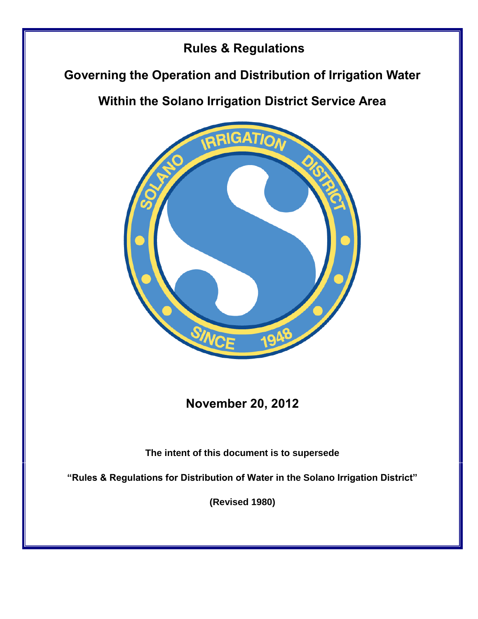# **Rules & Regulations**

# **Governing the Operation and Distribution of Irrigation Water**

# **Within the Solano Irrigation District Service Area**



**November 20, 2012**

**The intent of this document is to supersede** 

**"Rules & Regulations for Distribution of Water in the Solano Irrigation District"** 

**(Revised 1980)**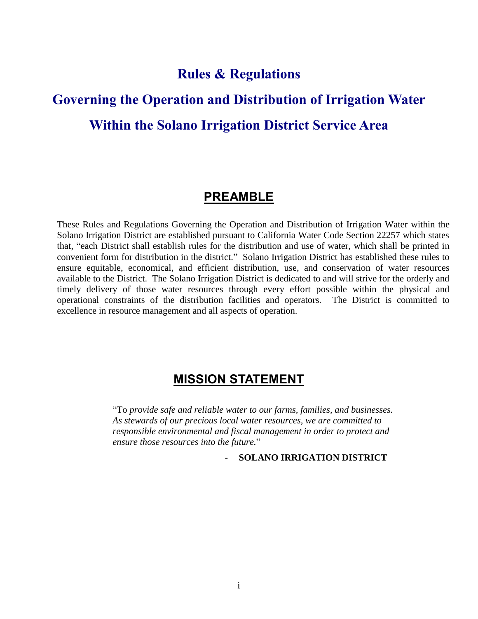### **Rules & Regulations**

# **Governing the Operation and Distribution of Irrigation Water Within the Solano Irrigation District Service Area**

### **PREAMBLE**

These Rules and Regulations Governing the Operation and Distribution of Irrigation Water within the Solano Irrigation District are established pursuant to California Water Code Section 22257 which states that, "each District shall establish rules for the distribution and use of water, which shall be printed in convenient form for distribution in the district." Solano Irrigation District has established these rules to ensure equitable, economical, and efficient distribution, use, and conservation of water resources available to the District. The Solano Irrigation District is dedicated to and will strive for the orderly and timely delivery of those water resources through every effort possible within the physical and operational constraints of the distribution facilities and operators. The District is committed to excellence in resource management and all aspects of operation.

### **MISSION STATEMENT**

"To *provide safe and reliable water to our farms, families, and businesses. As stewards of our precious local water resources, we are committed to responsible environmental and fiscal management in order to protect and ensure those resources into the future.*"

- **SOLANO IRRIGATION DISTRICT**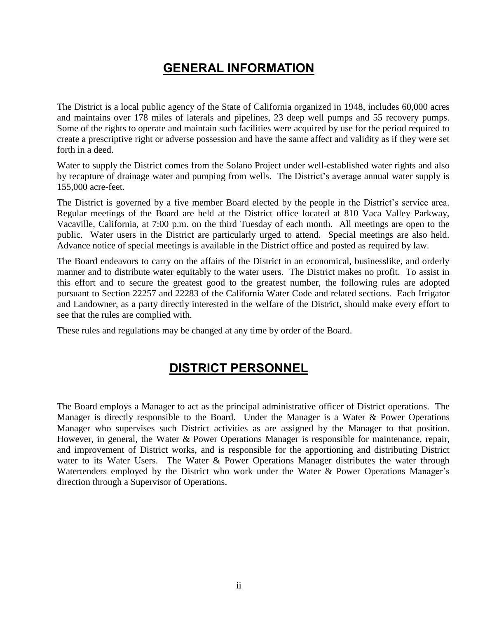## **GENERAL INFORMATION**

The District is a local public agency of the State of California organized in 1948, includes 60,000 acres and maintains over 178 miles of laterals and pipelines, 23 deep well pumps and 55 recovery pumps. Some of the rights to operate and maintain such facilities were acquired by use for the period required to create a prescriptive right or adverse possession and have the same affect and validity as if they were set forth in a deed.

Water to supply the District comes from the Solano Project under well-established water rights and also by recapture of drainage water and pumping from wells. The District's average annual water supply is 155,000 acre-feet.

The District is governed by a five member Board elected by the people in the District's service area. Regular meetings of the Board are held at the District office located at 810 Vaca Valley Parkway, Vacaville, California, at 7:00 p.m. on the third Tuesday of each month. All meetings are open to the public. Water users in the District are particularly urged to attend. Special meetings are also held. Advance notice of special meetings is available in the District office and posted as required by law.

The Board endeavors to carry on the affairs of the District in an economical, businesslike, and orderly manner and to distribute water equitably to the water users. The District makes no profit. To assist in this effort and to secure the greatest good to the greatest number, the following rules are adopted pursuant to Section 22257 and 22283 of the California Water Code and related sections. Each Irrigator and Landowner, as a party directly interested in the welfare of the District, should make every effort to see that the rules are complied with.

These rules and regulations may be changed at any time by order of the Board.

### **DISTRICT PERSONNEL**

The Board employs a Manager to act as the principal administrative officer of District operations. The Manager is directly responsible to the Board. Under the Manager is a Water & Power Operations Manager who supervises such District activities as are assigned by the Manager to that position. However, in general, the Water & Power Operations Manager is responsible for maintenance, repair, and improvement of District works, and is responsible for the apportioning and distributing District water to its Water Users. The Water & Power Operations Manager distributes the water through Watertenders employed by the District who work under the Water & Power Operations Manager's direction through a Supervisor of Operations.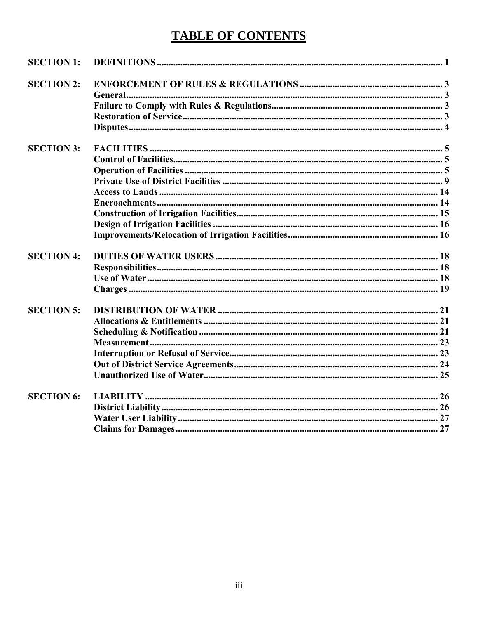# **TABLE OF CONTENTS**

| <b>SECTION 1:</b> |  |
|-------------------|--|
| <b>SECTION 2:</b> |  |
|                   |  |
|                   |  |
|                   |  |
|                   |  |
| <b>SECTION 3:</b> |  |
|                   |  |
|                   |  |
|                   |  |
|                   |  |
|                   |  |
|                   |  |
|                   |  |
|                   |  |
| <b>SECTION 4:</b> |  |
|                   |  |
|                   |  |
|                   |  |
| <b>SECTION 5:</b> |  |
|                   |  |
|                   |  |
|                   |  |
|                   |  |
|                   |  |
|                   |  |
| <b>SECTION 6:</b> |  |
|                   |  |
|                   |  |
|                   |  |
|                   |  |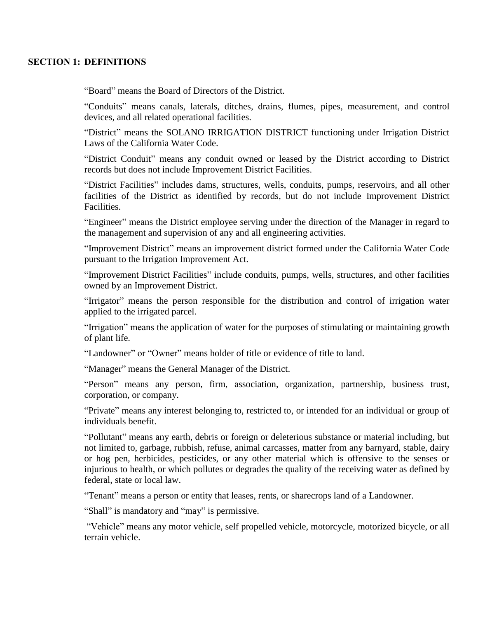#### **SECTION 1: DEFINITIONS**

"Board" means the Board of Directors of the District.

"Conduits" means canals, laterals, ditches, drains, flumes, pipes, measurement, and control devices, and all related operational facilities.

"District" means the SOLANO IRRIGATION DISTRICT functioning under Irrigation District Laws of the California Water Code.

"District Conduit" means any conduit owned or leased by the District according to District records but does not include Improvement District Facilities.

"District Facilities" includes dams, structures, wells, conduits, pumps, reservoirs, and all other facilities of the District as identified by records, but do not include Improvement District Facilities.

"Engineer" means the District employee serving under the direction of the Manager in regard to the management and supervision of any and all engineering activities.

"Improvement District" means an improvement district formed under the California Water Code pursuant to the Irrigation Improvement Act.

"Improvement District Facilities" include conduits, pumps, wells, structures, and other facilities owned by an Improvement District.

"Irrigator" means the person responsible for the distribution and control of irrigation water applied to the irrigated parcel.

"Irrigation" means the application of water for the purposes of stimulating or maintaining growth of plant life.

"Landowner" or "Owner" means holder of title or evidence of title to land.

"Manager" means the General Manager of the District.

"Person" means any person, firm, association, organization, partnership, business trust, corporation, or company.

"Private" means any interest belonging to, restricted to, or intended for an individual or group of individuals benefit.

"Pollutant" means any earth, debris or foreign or deleterious substance or material including, but not limited to, garbage, rubbish, refuse, animal carcasses, matter from any barnyard, stable, dairy or hog pen, herbicides, pesticides, or any other material which is offensive to the senses or injurious to health, or which pollutes or degrades the quality of the receiving water as defined by federal, state or local law.

"Tenant" means a person or entity that leases, rents, or sharecrops land of a Landowner.

"Shall" is mandatory and "may" is permissive.

"Vehicle" means any motor vehicle, self propelled vehicle, motorcycle, motorized bicycle, or all terrain vehicle.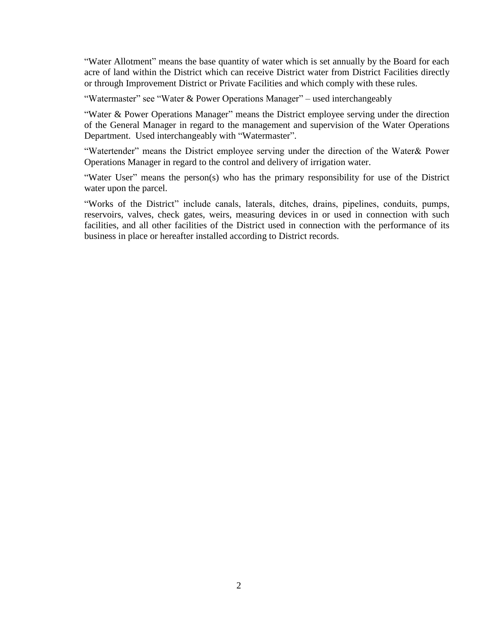"Water Allotment" means the base quantity of water which is set annually by the Board for each acre of land within the District which can receive District water from District Facilities directly or through Improvement District or Private Facilities and which comply with these rules.

"Watermaster" see "Water & Power Operations Manager" – used interchangeably

"Water & Power Operations Manager" means the District employee serving under the direction of the General Manager in regard to the management and supervision of the Water Operations Department. Used interchangeably with "Watermaster".

"Watertender" means the District employee serving under the direction of the Water& Power Operations Manager in regard to the control and delivery of irrigation water.

"Water User" means the person(s) who has the primary responsibility for use of the District water upon the parcel.

"Works of the District" include canals, laterals, ditches, drains, pipelines, conduits, pumps, reservoirs, valves, check gates, weirs, measuring devices in or used in connection with such facilities, and all other facilities of the District used in connection with the performance of its business in place or hereafter installed according to District records.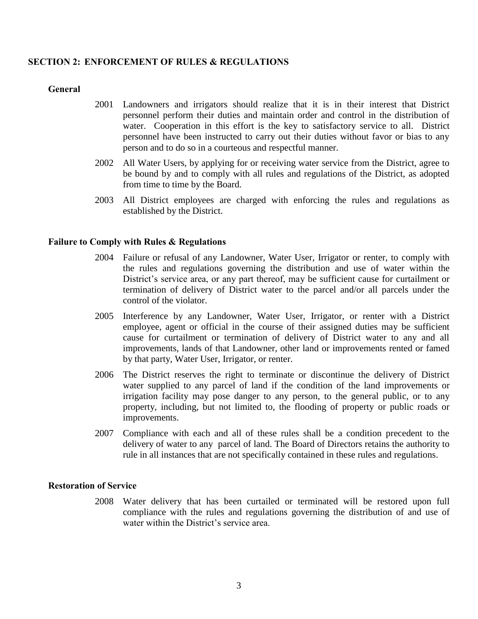#### **SECTION 2: ENFORCEMENT OF RULES & REGULATIONS**

#### **General**

- 2001 Landowners and irrigators should realize that it is in their interest that District personnel perform their duties and maintain order and control in the distribution of water. Cooperation in this effort is the key to satisfactory service to all. District personnel have been instructed to carry out their duties without favor or bias to any person and to do so in a courteous and respectful manner.
- 2002 All Water Users, by applying for or receiving water service from the District, agree to be bound by and to comply with all rules and regulations of the District, as adopted from time to time by the Board.
- 2003 All District employees are charged with enforcing the rules and regulations as established by the District.

#### **Failure to Comply with Rules & Regulations**

- 2004 Failure or refusal of any Landowner, Water User, Irrigator or renter, to comply with the rules and regulations governing the distribution and use of water within the District's service area, or any part thereof, may be sufficient cause for curtailment or termination of delivery of District water to the parcel and/or all parcels under the control of the violator.
- 2005 Interference by any Landowner, Water User, Irrigator, or renter with a District employee, agent or official in the course of their assigned duties may be sufficient cause for curtailment or termination of delivery of District water to any and all improvements, lands of that Landowner, other land or improvements rented or famed by that party, Water User, Irrigator, or renter.
- 2006 The District reserves the right to terminate or discontinue the delivery of District water supplied to any parcel of land if the condition of the land improvements or irrigation facility may pose danger to any person, to the general public, or to any property, including, but not limited to, the flooding of property or public roads or improvements.
- 2007 Compliance with each and all of these rules shall be a condition precedent to the delivery of water to any parcel of land. The Board of Directors retains the authority to rule in all instances that are not specifically contained in these rules and regulations.

#### **Restoration of Service**

2008 Water delivery that has been curtailed or terminated will be restored upon full compliance with the rules and regulations governing the distribution of and use of water within the District's service area.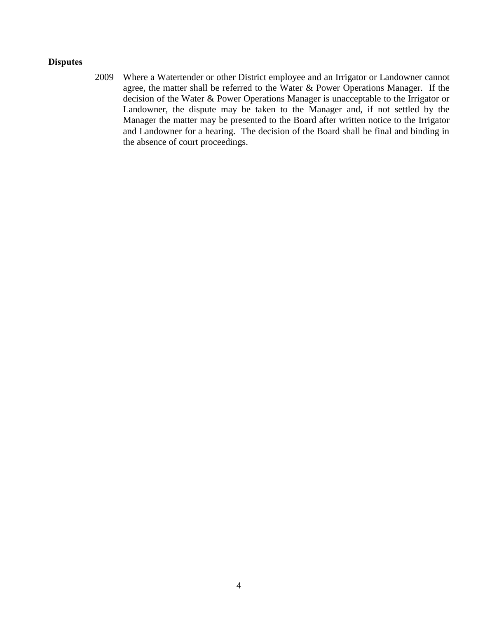#### **Disputes**

2009 Where a Watertender or other District employee and an Irrigator or Landowner cannot agree, the matter shall be referred to the Water & Power Operations Manager. If the decision of the Water & Power Operations Manager is unacceptable to the Irrigator or Landowner, the dispute may be taken to the Manager and, if not settled by the Manager the matter may be presented to the Board after written notice to the Irrigator and Landowner for a hearing. The decision of the Board shall be final and binding in the absence of court proceedings.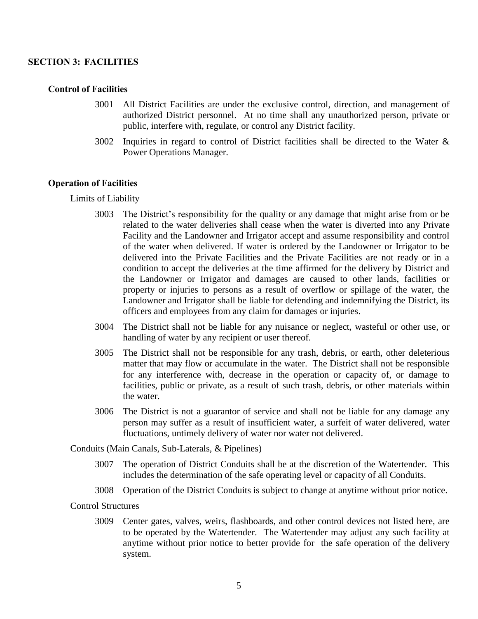#### **SECTION 3: FACILITIES**

#### **Control of Facilities**

- 3001 All District Facilities are under the exclusive control, direction, and management of authorized District personnel. At no time shall any unauthorized person, private or public, interfere with, regulate, or control any District facility.
- 3002 Inquiries in regard to control of District facilities shall be directed to the Water & Power Operations Manager.

#### **Operation of Facilities**

Limits of Liability

- 3003 The District's responsibility for the quality or any damage that might arise from or be related to the water deliveries shall cease when the water is diverted into any Private Facility and the Landowner and Irrigator accept and assume responsibility and control of the water when delivered. If water is ordered by the Landowner or Irrigator to be delivered into the Private Facilities and the Private Facilities are not ready or in a condition to accept the deliveries at the time affirmed for the delivery by District and the Landowner or Irrigator and damages are caused to other lands, facilities or property or injuries to persons as a result of overflow or spillage of the water, the Landowner and Irrigator shall be liable for defending and indemnifying the District, its officers and employees from any claim for damages or injuries.
- 3004 The District shall not be liable for any nuisance or neglect, wasteful or other use, or handling of water by any recipient or user thereof.
- 3005 The District shall not be responsible for any trash, debris, or earth, other deleterious matter that may flow or accumulate in the water. The District shall not be responsible for any interference with, decrease in the operation or capacity of, or damage to facilities, public or private, as a result of such trash, debris, or other materials within the water.
- 3006 The District is not a guarantor of service and shall not be liable for any damage any person may suffer as a result of insufficient water, a surfeit of water delivered, water fluctuations, untimely delivery of water nor water not delivered.

Conduits (Main Canals, Sub-Laterals, & Pipelines)

- 3007 The operation of District Conduits shall be at the discretion of the Watertender. This includes the determination of the safe operating level or capacity of all Conduits.
- 3008 Operation of the District Conduits is subject to change at anytime without prior notice.

Control Structures

3009 Center gates, valves, weirs, flashboards, and other control devices not listed here, are to be operated by the Watertender. The Watertender may adjust any such facility at anytime without prior notice to better provide for the safe operation of the delivery system.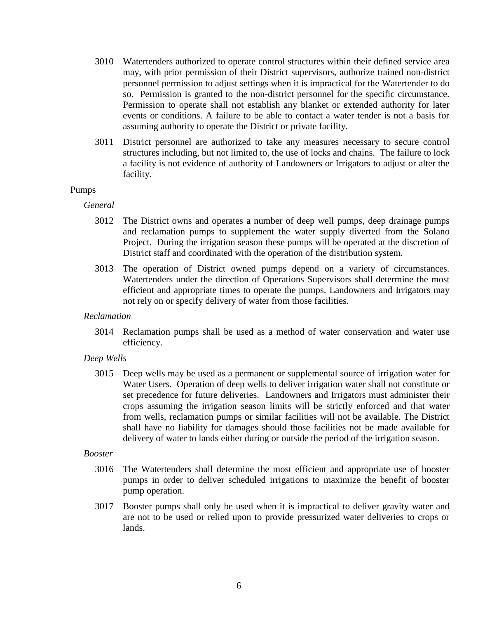- 3010 Watertenders authorized to operate control structures within their defined service area may, with prior permission of their District supervisors, authorize trained non-district personnel permission to adjust settings when it is impractical for the Watertender to do so. Permission is granted to the non-district personnel for the specific circumstance. Permission to operate shall not establish any blanket or extended authority for later events or conditions. A failure to be able to contact a water tender is not a basis for assuming authority to operate the District or private facility.
- 3011 District personnel are authorized to take any measures necessary to secure control structures including, but not limited to, the use of locks and chains. The failure to lock a facility is not evidence of authority of Landowners or Irrigators to adjust or alter the facility.

#### Pumps

#### *General*

- 3012 The District owns and operates a number of deep well pumps, deep drainage pumps and reclamation pumps to supplement the water supply diverted from the Solano Project. During the irrigation season these pumps will be operated at the discretion of District staff and coordinated with the operation of the distribution system.
- 3013 The operation of District owned pumps depend on a variety of circumstances. Watertenders under the direction of Operations Supervisors shall determine the most efficient and appropriate times to operate the pumps. Landowners and Irrigators may not rely on or specify delivery of water from those facilities.

#### *Reclamation*

3014 Reclamation pumps shall be used as a method of water conservation and water use efficiency.

#### *Deep Wells*

3015 Deep wells may be used as a permanent or supplemental source of irrigation water for Water Users. Operation of deep wells to deliver irrigation water shall not constitute or set precedence for future deliveries. Landowners and Irrigators must administer their crops assuming the irrigation season limits will be strictly enforced and that water from wells, reclamation pumps or similar facilities will not be available. The District shall have no liability for damages should those facilities not be made available for delivery of water to lands either during or outside the period of the irrigation season.

#### *Booster*

- 3016 The Watertenders shall determine the most efficient and appropriate use of booster pumps in order to deliver scheduled irrigations to maximize the benefit of booster pump operation.
- 3017 Booster pumps shall only be used when it is impractical to deliver gravity water and are not to be used or relied upon to provide pressurized water deliveries to crops or lands.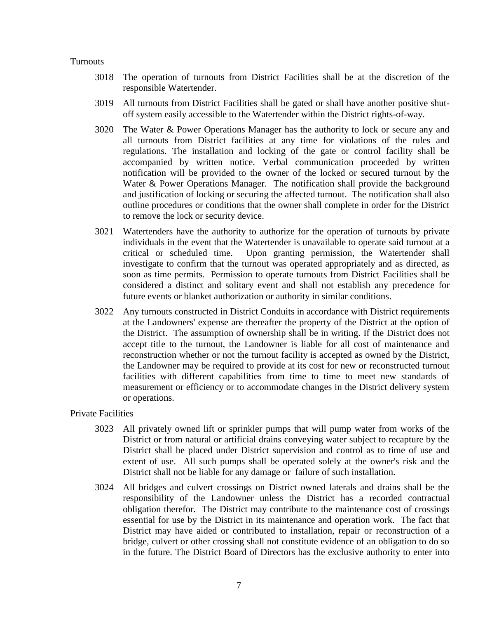#### **Turnouts**

- 3018 The operation of turnouts from District Facilities shall be at the discretion of the responsible Watertender.
- 3019 All turnouts from District Facilities shall be gated or shall have another positive shutoff system easily accessible to the Watertender within the District rights-of-way.
- 3020 The Water & Power Operations Manager has the authority to lock or secure any and all turnouts from District facilities at any time for violations of the rules and regulations. The installation and locking of the gate or control facility shall be accompanied by written notice. Verbal communication proceeded by written notification will be provided to the owner of the locked or secured turnout by the Water & Power Operations Manager. The notification shall provide the background and justification of locking or securing the affected turnout. The notification shall also outline procedures or conditions that the owner shall complete in order for the District to remove the lock or security device.
- 3021 Watertenders have the authority to authorize for the operation of turnouts by private individuals in the event that the Watertender is unavailable to operate said turnout at a critical or scheduled time. Upon granting permission, the Watertender shall investigate to confirm that the turnout was operated appropriately and as directed, as soon as time permits. Permission to operate turnouts from District Facilities shall be considered a distinct and solitary event and shall not establish any precedence for future events or blanket authorization or authority in similar conditions.
- 3022 Any turnouts constructed in District Conduits in accordance with District requirements at the Landowners' expense are thereafter the property of the District at the option of the District. The assumption of ownership shall be in writing. If the District does not accept title to the turnout, the Landowner is liable for all cost of maintenance and reconstruction whether or not the turnout facility is accepted as owned by the District, the Landowner may be required to provide at its cost for new or reconstructed turnout facilities with different capabilities from time to time to meet new standards of measurement or efficiency or to accommodate changes in the District delivery system or operations.

#### Private Facilities

- 3023 All privately owned lift or sprinkler pumps that will pump water from works of the District or from natural or artificial drains conveying water subject to recapture by the District shall be placed under District supervision and control as to time of use and extent of use. All such pumps shall be operated solely at the owner's risk and the District shall not be liable for any damage or failure of such installation.
- 3024 All bridges and culvert crossings on District owned laterals and drains shall be the responsibility of the Landowner unless the District has a recorded contractual obligation therefor. The District may contribute to the maintenance cost of crossings essential for use by the District in its maintenance and operation work. The fact that District may have aided or contributed to installation, repair or reconstruction of a bridge, culvert or other crossing shall not constitute evidence of an obligation to do so in the future. The District Board of Directors has the exclusive authority to enter into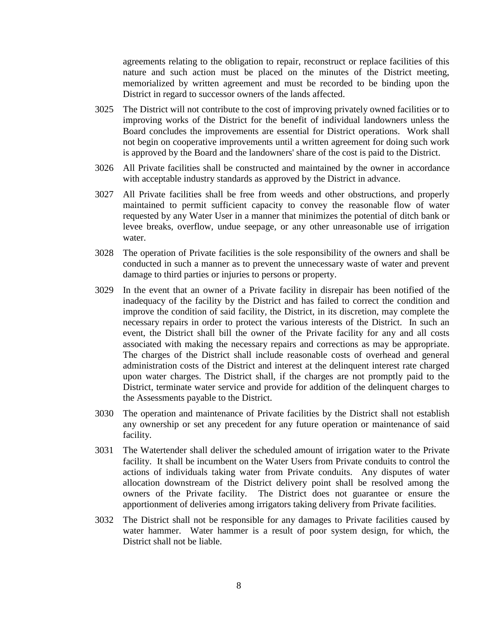agreements relating to the obligation to repair, reconstruct or replace facilities of this nature and such action must be placed on the minutes of the District meeting, memorialized by written agreement and must be recorded to be binding upon the District in regard to successor owners of the lands affected.

- 3025 The District will not contribute to the cost of improving privately owned facilities or to improving works of the District for the benefit of individual landowners unless the Board concludes the improvements are essential for District operations. Work shall not begin on cooperative improvements until a written agreement for doing such work is approved by the Board and the landowners' share of the cost is paid to the District.
- 3026 All Private facilities shall be constructed and maintained by the owner in accordance with acceptable industry standards as approved by the District in advance.
- 3027 All Private facilities shall be free from weeds and other obstructions, and properly maintained to permit sufficient capacity to convey the reasonable flow of water requested by any Water User in a manner that minimizes the potential of ditch bank or levee breaks, overflow, undue seepage, or any other unreasonable use of irrigation water.
- 3028 The operation of Private facilities is the sole responsibility of the owners and shall be conducted in such a manner as to prevent the unnecessary waste of water and prevent damage to third parties or injuries to persons or property.
- 3029 In the event that an owner of a Private facility in disrepair has been notified of the inadequacy of the facility by the District and has failed to correct the condition and improve the condition of said facility, the District, in its discretion, may complete the necessary repairs in order to protect the various interests of the District. In such an event, the District shall bill the owner of the Private facility for any and all costs associated with making the necessary repairs and corrections as may be appropriate. The charges of the District shall include reasonable costs of overhead and general administration costs of the District and interest at the delinquent interest rate charged upon water charges. The District shall, if the charges are not promptly paid to the District, terminate water service and provide for addition of the delinquent charges to the Assessments payable to the District.
- 3030 The operation and maintenance of Private facilities by the District shall not establish any ownership or set any precedent for any future operation or maintenance of said facility.
- 3031 The Watertender shall deliver the scheduled amount of irrigation water to the Private facility. It shall be incumbent on the Water Users from Private conduits to control the actions of individuals taking water from Private conduits. Any disputes of water allocation downstream of the District delivery point shall be resolved among the owners of the Private facility. The District does not guarantee or ensure the apportionment of deliveries among irrigators taking delivery from Private facilities.
- 3032 The District shall not be responsible for any damages to Private facilities caused by water hammer. Water hammer is a result of poor system design, for which, the District shall not be liable.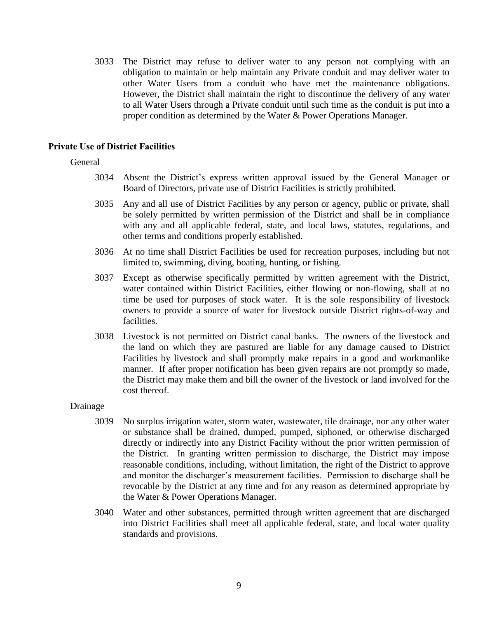3033 The District may refuse to deliver water to any person not complying with an obligation to maintain or help maintain any Private conduit and may deliver water to other Water Users from a conduit who have met the maintenance obligations. However, the District shall maintain the right to discontinue the delivery of any water to all Water Users through a Private conduit until such time as the conduit is put into a proper condition as determined by the Water & Power Operations Manager.

#### **Private Use of District Facilities**

#### General

- 3034 Absent the District's express written approval issued by the General Manager or Board of Directors, private use of District Facilities is strictly prohibited.
- 3035 Any and all use of District Facilities by any person or agency, public or private, shall be solely permitted by written permission of the District and shall be in compliance with any and all applicable federal, state, and local laws, statutes, regulations, and other terms and conditions properly established.
- 3036 At no time shall District Facilities be used for recreation purposes, including but not limited to, swimming, diving, boating, hunting, or fishing.
- 3037 Except as otherwise specifically permitted by written agreement with the District, water contained within District Facilities, either flowing or non-flowing, shall at no time be used for purposes of stock water. It is the sole responsibility of livestock owners to provide a source of water for livestock outside District rights-of-way and facilities.
- 3038 Livestock is not permitted on District canal banks. The owners of the livestock and the land on which they are pastured are liable for any damage caused to District Facilities by livestock and shall promptly make repairs in a good and workmanlike manner. If after proper notification has been given repairs are not promptly so made, the District may make them and bill the owner of the livestock or land involved for the cost thereof.

#### Drainage

- 3039 No surplus irrigation water, storm water, wastewater, tile drainage, nor any other water or substance shall be drained, dumped, pumped, siphoned, or otherwise discharged directly or indirectly into any District Facility without the prior written permission of the District. In granting written permission to discharge, the District may impose reasonable conditions, including, without limitation, the right of the District to approve and monitor the discharger's measurement facilities. Permission to discharge shall be revocable by the District at any time and for any reason as determined appropriate by the Water & Power Operations Manager.
- 3040 Water and other substances, permitted through written agreement that are discharged into District Facilities shall meet all applicable federal, state, and local water quality standards and provisions.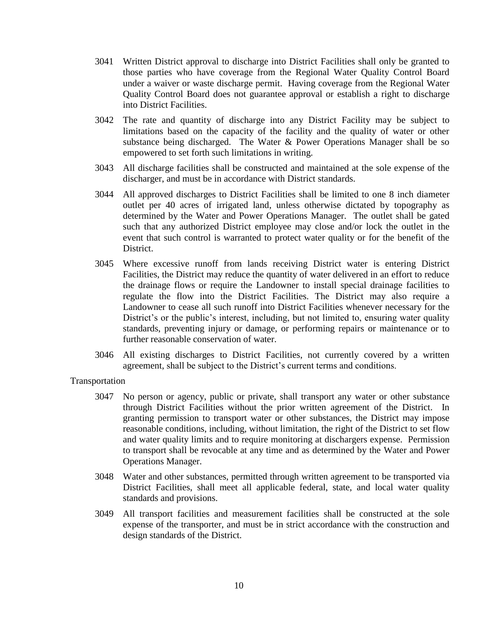- 3041 Written District approval to discharge into District Facilities shall only be granted to those parties who have coverage from the Regional Water Quality Control Board under a waiver or waste discharge permit. Having coverage from the Regional Water Quality Control Board does not guarantee approval or establish a right to discharge into District Facilities.
- 3042 The rate and quantity of discharge into any District Facility may be subject to limitations based on the capacity of the facility and the quality of water or other substance being discharged. The Water & Power Operations Manager shall be so empowered to set forth such limitations in writing.
- 3043 All discharge facilities shall be constructed and maintained at the sole expense of the discharger, and must be in accordance with District standards.
- 3044 All approved discharges to District Facilities shall be limited to one 8 inch diameter outlet per 40 acres of irrigated land, unless otherwise dictated by topography as determined by the Water and Power Operations Manager. The outlet shall be gated such that any authorized District employee may close and/or lock the outlet in the event that such control is warranted to protect water quality or for the benefit of the District.
- 3045 Where excessive runoff from lands receiving District water is entering District Facilities, the District may reduce the quantity of water delivered in an effort to reduce the drainage flows or require the Landowner to install special drainage facilities to regulate the flow into the District Facilities. The District may also require a Landowner to cease all such runoff into District Facilities whenever necessary for the District's or the public's interest, including, but not limited to, ensuring water quality standards, preventing injury or damage, or performing repairs or maintenance or to further reasonable conservation of water.
- 3046 All existing discharges to District Facilities, not currently covered by a written agreement, shall be subject to the District's current terms and conditions.

Transportation

- 3047 No person or agency, public or private, shall transport any water or other substance through District Facilities without the prior written agreement of the District. In granting permission to transport water or other substances, the District may impose reasonable conditions, including, without limitation, the right of the District to set flow and water quality limits and to require monitoring at dischargers expense. Permission to transport shall be revocable at any time and as determined by the Water and Power Operations Manager.
- 3048 Water and other substances, permitted through written agreement to be transported via District Facilities, shall meet all applicable federal, state, and local water quality standards and provisions.
- 3049 All transport facilities and measurement facilities shall be constructed at the sole expense of the transporter, and must be in strict accordance with the construction and design standards of the District.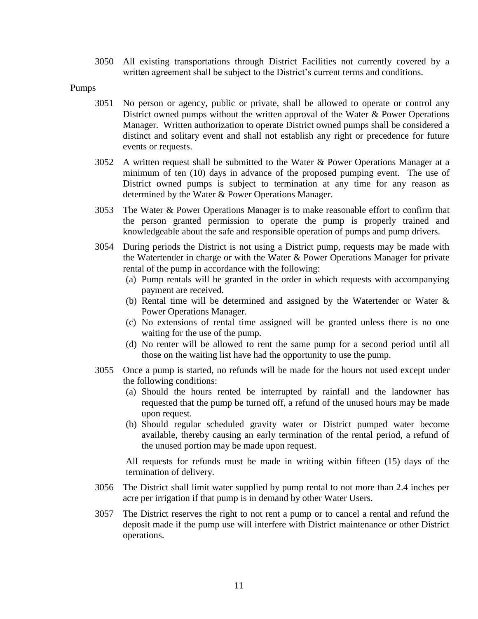3050 All existing transportations through District Facilities not currently covered by a written agreement shall be subject to the District's current terms and conditions.

Pumps

- 3051 No person or agency, public or private, shall be allowed to operate or control any District owned pumps without the written approval of the Water & Power Operations Manager. Written authorization to operate District owned pumps shall be considered a distinct and solitary event and shall not establish any right or precedence for future events or requests.
- 3052 A written request shall be submitted to the Water & Power Operations Manager at a minimum of ten (10) days in advance of the proposed pumping event. The use of District owned pumps is subject to termination at any time for any reason as determined by the Water & Power Operations Manager.
- 3053 The Water & Power Operations Manager is to make reasonable effort to confirm that the person granted permission to operate the pump is properly trained and knowledgeable about the safe and responsible operation of pumps and pump drivers.
- 3054 During periods the District is not using a District pump, requests may be made with the Watertender in charge or with the Water & Power Operations Manager for private rental of the pump in accordance with the following:
	- (a) Pump rentals will be granted in the order in which requests with accompanying payment are received.
	- (b) Rental time will be determined and assigned by the Watertender or Water & Power Operations Manager.
	- (c) No extensions of rental time assigned will be granted unless there is no one waiting for the use of the pump.
	- (d) No renter will be allowed to rent the same pump for a second period until all those on the waiting list have had the opportunity to use the pump.
- 3055 Once a pump is started, no refunds will be made for the hours not used except under the following conditions:
	- (a) Should the hours rented be interrupted by rainfall and the landowner has requested that the pump be turned off, a refund of the unused hours may be made upon request.
	- (b) Should regular scheduled gravity water or District pumped water become available, thereby causing an early termination of the rental period, a refund of the unused portion may be made upon request.

All requests for refunds must be made in writing within fifteen (15) days of the termination of delivery.

- 3056 The District shall limit water supplied by pump rental to not more than 2.4 inches per acre per irrigation if that pump is in demand by other Water Users.
- 3057 The District reserves the right to not rent a pump or to cancel a rental and refund the deposit made if the pump use will interfere with District maintenance or other District operations.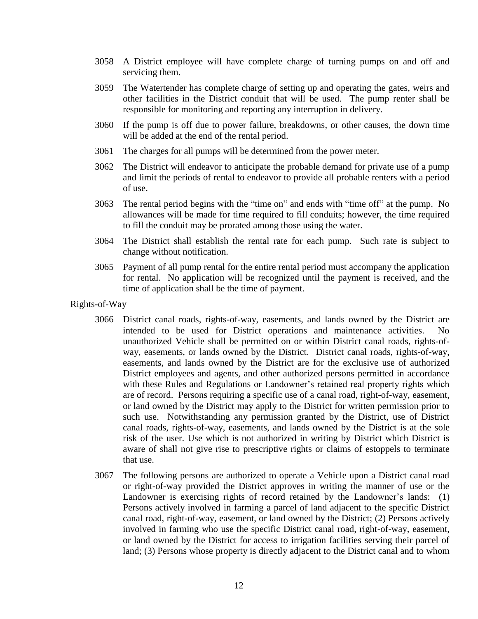- 3058 A District employee will have complete charge of turning pumps on and off and servicing them.
- 3059 The Watertender has complete charge of setting up and operating the gates, weirs and other facilities in the District conduit that will be used. The pump renter shall be responsible for monitoring and reporting any interruption in delivery.
- 3060 If the pump is off due to power failure, breakdowns, or other causes, the down time will be added at the end of the rental period.
- 3061 The charges for all pumps will be determined from the power meter.
- 3062 The District will endeavor to anticipate the probable demand for private use of a pump and limit the periods of rental to endeavor to provide all probable renters with a period of use.
- 3063 The rental period begins with the "time on" and ends with "time off" at the pump. No allowances will be made for time required to fill conduits; however, the time required to fill the conduit may be prorated among those using the water.
- 3064 The District shall establish the rental rate for each pump. Such rate is subject to change without notification.
- 3065 Payment of all pump rental for the entire rental period must accompany the application for rental. No application will be recognized until the payment is received, and the time of application shall be the time of payment.
- Rights-of-Way
	- 3066 District canal roads, rights-of-way, easements, and lands owned by the District are intended to be used for District operations and maintenance activities. No unauthorized Vehicle shall be permitted on or within District canal roads, rights-ofway, easements, or lands owned by the District. District canal roads, rights-of-way, easements, and lands owned by the District are for the exclusive use of authorized District employees and agents, and other authorized persons permitted in accordance with these Rules and Regulations or Landowner's retained real property rights which are of record. Persons requiring a specific use of a canal road, right-of-way, easement, or land owned by the District may apply to the District for written permission prior to such use. Notwithstanding any permission granted by the District, use of District canal roads, rights-of-way, easements, and lands owned by the District is at the sole risk of the user. Use which is not authorized in writing by District which District is aware of shall not give rise to prescriptive rights or claims of estoppels to terminate that use.
	- 3067 The following persons are authorized to operate a Vehicle upon a District canal road or right-of-way provided the District approves in writing the manner of use or the Landowner is exercising rights of record retained by the Landowner's lands: (1) Persons actively involved in farming a parcel of land adjacent to the specific District canal road, right-of-way, easement, or land owned by the District; (2) Persons actively involved in farming who use the specific District canal road, right-of-way, easement, or land owned by the District for access to irrigation facilities serving their parcel of land; (3) Persons whose property is directly adjacent to the District canal and to whom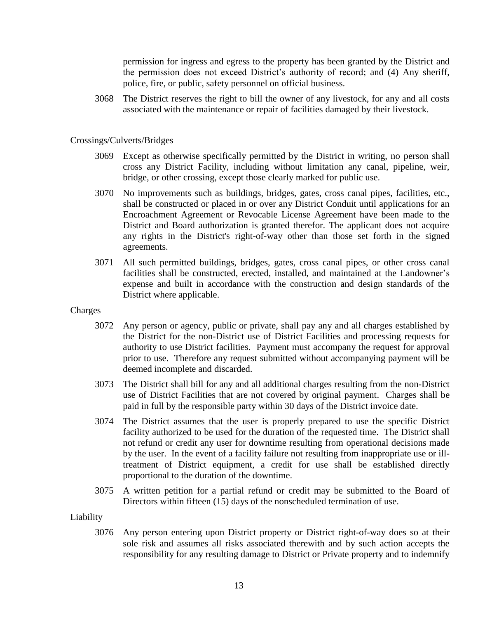permission for ingress and egress to the property has been granted by the District and the permission does not exceed District's authority of record; and (4) Any sheriff, police, fire, or public, safety personnel on official business.

3068 The District reserves the right to bill the owner of any livestock, for any and all costs associated with the maintenance or repair of facilities damaged by their livestock.

#### Crossings/Culverts/Bridges

- 3069 Except as otherwise specifically permitted by the District in writing, no person shall cross any District Facility, including without limitation any canal, pipeline, weir, bridge, or other crossing, except those clearly marked for public use.
- 3070 No improvements such as buildings, bridges, gates, cross canal pipes, facilities, etc., shall be constructed or placed in or over any District Conduit until applications for an Encroachment Agreement or Revocable License Agreement have been made to the District and Board authorization is granted therefor. The applicant does not acquire any rights in the District's right-of-way other than those set forth in the signed agreements.
- 3071 All such permitted buildings, bridges, gates, cross canal pipes, or other cross canal facilities shall be constructed, erected, installed, and maintained at the Landowner's expense and built in accordance with the construction and design standards of the District where applicable.
- Charges
	- 3072 Any person or agency, public or private, shall pay any and all charges established by the District for the non-District use of District Facilities and processing requests for authority to use District facilities. Payment must accompany the request for approval prior to use. Therefore any request submitted without accompanying payment will be deemed incomplete and discarded.
	- 3073 The District shall bill for any and all additional charges resulting from the non-District use of District Facilities that are not covered by original payment. Charges shall be paid in full by the responsible party within 30 days of the District invoice date.
	- 3074 The District assumes that the user is properly prepared to use the specific District facility authorized to be used for the duration of the requested time. The District shall not refund or credit any user for downtime resulting from operational decisions made by the user. In the event of a facility failure not resulting from inappropriate use or illtreatment of District equipment, a credit for use shall be established directly proportional to the duration of the downtime.
	- 3075 A written petition for a partial refund or credit may be submitted to the Board of Directors within fifteen (15) days of the nonscheduled termination of use.

#### Liability

3076 Any person entering upon District property or District right-of-way does so at their sole risk and assumes all risks associated therewith and by such action accepts the responsibility for any resulting damage to District or Private property and to indemnify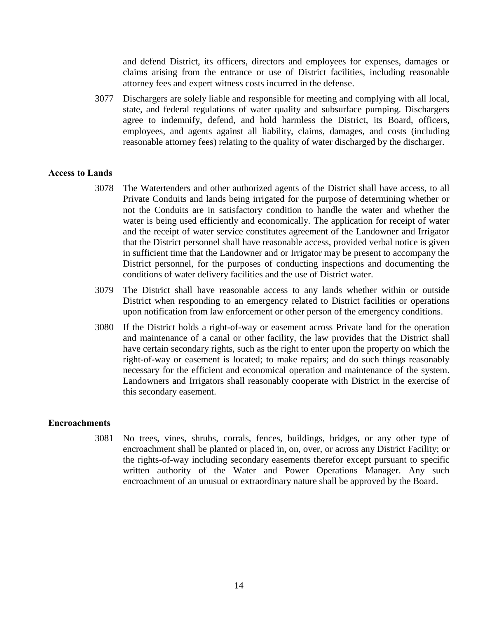and defend District, its officers, directors and employees for expenses, damages or claims arising from the entrance or use of District facilities, including reasonable attorney fees and expert witness costs incurred in the defense.

3077 Dischargers are solely liable and responsible for meeting and complying with all local, state, and federal regulations of water quality and subsurface pumping. Dischargers agree to indemnify, defend, and hold harmless the District, its Board, officers, employees, and agents against all liability, claims, damages, and costs (including reasonable attorney fees) relating to the quality of water discharged by the discharger.

#### **Access to Lands**

- 3078 The Watertenders and other authorized agents of the District shall have access, to all Private Conduits and lands being irrigated for the purpose of determining whether or not the Conduits are in satisfactory condition to handle the water and whether the water is being used efficiently and economically. The application for receipt of water and the receipt of water service constitutes agreement of the Landowner and Irrigator that the District personnel shall have reasonable access, provided verbal notice is given in sufficient time that the Landowner and or Irrigator may be present to accompany the District personnel, for the purposes of conducting inspections and documenting the conditions of water delivery facilities and the use of District water.
- 3079 The District shall have reasonable access to any lands whether within or outside District when responding to an emergency related to District facilities or operations upon notification from law enforcement or other person of the emergency conditions.
- 3080 If the District holds a right-of-way or easement across Private land for the operation and maintenance of a canal or other facility, the law provides that the District shall have certain secondary rights, such as the right to enter upon the property on which the right-of-way or easement is located; to make repairs; and do such things reasonably necessary for the efficient and economical operation and maintenance of the system. Landowners and Irrigators shall reasonably cooperate with District in the exercise of this secondary easement.

#### **Encroachments**

3081 No trees, vines, shrubs, corrals, fences, buildings, bridges, or any other type of encroachment shall be planted or placed in, on, over, or across any District Facility; or the rights-of-way including secondary easements therefor except pursuant to specific written authority of the Water and Power Operations Manager. Any such encroachment of an unusual or extraordinary nature shall be approved by the Board.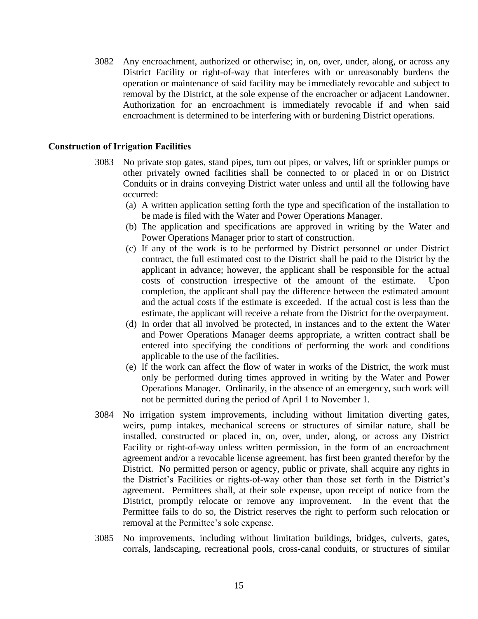3082 Any encroachment, authorized or otherwise; in, on, over, under, along, or across any District Facility or right-of-way that interferes with or unreasonably burdens the operation or maintenance of said facility may be immediately revocable and subject to removal by the District, at the sole expense of the encroacher or adjacent Landowner. Authorization for an encroachment is immediately revocable if and when said encroachment is determined to be interfering with or burdening District operations.

#### **Construction of Irrigation Facilities**

- 3083 No private stop gates, stand pipes, turn out pipes, or valves, lift or sprinkler pumps or other privately owned facilities shall be connected to or placed in or on District Conduits or in drains conveying District water unless and until all the following have occurred:
	- (a) A written application setting forth the type and specification of the installation to be made is filed with the Water and Power Operations Manager.
	- (b) The application and specifications are approved in writing by the Water and Power Operations Manager prior to start of construction.
	- (c) If any of the work is to be performed by District personnel or under District contract, the full estimated cost to the District shall be paid to the District by the applicant in advance; however, the applicant shall be responsible for the actual costs of construction irrespective of the amount of the estimate. Upon completion, the applicant shall pay the difference between the estimated amount and the actual costs if the estimate is exceeded. If the actual cost is less than the estimate, the applicant will receive a rebate from the District for the overpayment.
	- (d) In order that all involved be protected, in instances and to the extent the Water and Power Operations Manager deems appropriate, a written contract shall be entered into specifying the conditions of performing the work and conditions applicable to the use of the facilities.
	- (e) If the work can affect the flow of water in works of the District, the work must only be performed during times approved in writing by the Water and Power Operations Manager. Ordinarily, in the absence of an emergency, such work will not be permitted during the period of April 1 to November 1.
- 3084 No irrigation system improvements, including without limitation diverting gates, weirs, pump intakes, mechanical screens or structures of similar nature, shall be installed, constructed or placed in, on, over, under, along, or across any District Facility or right-of-way unless written permission, in the form of an encroachment agreement and/or a revocable license agreement, has first been granted therefor by the District. No permitted person or agency, public or private, shall acquire any rights in the District's Facilities or rights-of-way other than those set forth in the District's agreement. Permittees shall, at their sole expense, upon receipt of notice from the District, promptly relocate or remove any improvement. In the event that the Permittee fails to do so, the District reserves the right to perform such relocation or removal at the Permittee's sole expense.
- 3085 No improvements, including without limitation buildings, bridges, culverts, gates, corrals, landscaping, recreational pools, cross-canal conduits, or structures of similar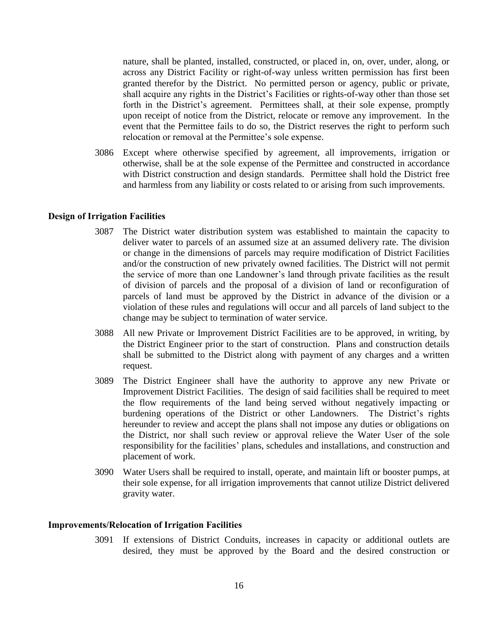nature, shall be planted, installed, constructed, or placed in, on, over, under, along, or across any District Facility or right-of-way unless written permission has first been granted therefor by the District. No permitted person or agency, public or private, shall acquire any rights in the District's Facilities or rights-of-way other than those set forth in the District's agreement. Permittees shall, at their sole expense, promptly upon receipt of notice from the District, relocate or remove any improvement. In the event that the Permittee fails to do so, the District reserves the right to perform such relocation or removal at the Permittee's sole expense.

3086 Except where otherwise specified by agreement, all improvements, irrigation or otherwise, shall be at the sole expense of the Permittee and constructed in accordance with District construction and design standards. Permittee shall hold the District free and harmless from any liability or costs related to or arising from such improvements.

#### **Design of Irrigation Facilities**

- 3087 The District water distribution system was established to maintain the capacity to deliver water to parcels of an assumed size at an assumed delivery rate. The division or change in the dimensions of parcels may require modification of District Facilities and/or the construction of new privately owned facilities. The District will not permit the service of more than one Landowner's land through private facilities as the result of division of parcels and the proposal of a division of land or reconfiguration of parcels of land must be approved by the District in advance of the division or a violation of these rules and regulations will occur and all parcels of land subject to the change may be subject to termination of water service.
- 3088 All new Private or Improvement District Facilities are to be approved, in writing, by the District Engineer prior to the start of construction. Plans and construction details shall be submitted to the District along with payment of any charges and a written request.
- 3089 The District Engineer shall have the authority to approve any new Private or Improvement District Facilities. The design of said facilities shall be required to meet the flow requirements of the land being served without negatively impacting or burdening operations of the District or other Landowners. The District's rights hereunder to review and accept the plans shall not impose any duties or obligations on the District, nor shall such review or approval relieve the Water User of the sole responsibility for the facilities' plans, schedules and installations, and construction and placement of work.
- 3090 Water Users shall be required to install, operate, and maintain lift or booster pumps, at their sole expense, for all irrigation improvements that cannot utilize District delivered gravity water.

#### **Improvements/Relocation of Irrigation Facilities**

3091 If extensions of District Conduits, increases in capacity or additional outlets are desired, they must be approved by the Board and the desired construction or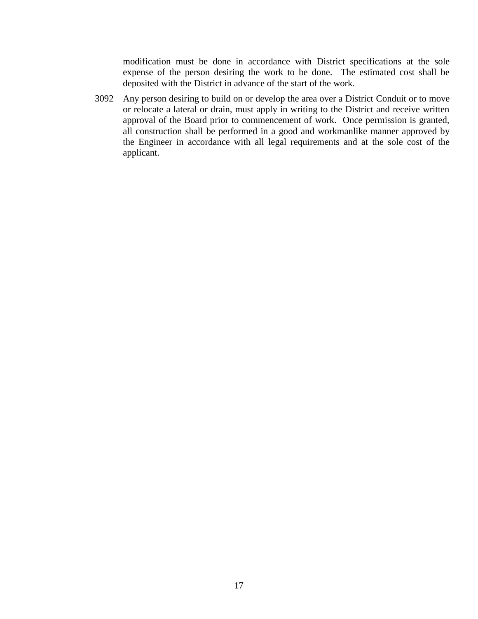modification must be done in accordance with District specifications at the sole expense of the person desiring the work to be done. The estimated cost shall be deposited with the District in advance of the start of the work.

3092 Any person desiring to build on or develop the area over a District Conduit or to move or relocate a lateral or drain, must apply in writing to the District and receive written approval of the Board prior to commencement of work. Once permission is granted, all construction shall be performed in a good and workmanlike manner approved by the Engineer in accordance with all legal requirements and at the sole cost of the applicant.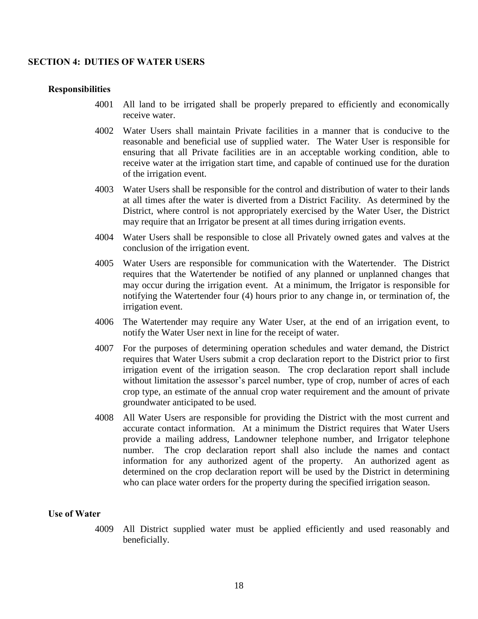#### **SECTION 4: DUTIES OF WATER USERS**

#### **Responsibilities**

- 4001 All land to be irrigated shall be properly prepared to efficiently and economically receive water.
- 4002 Water Users shall maintain Private facilities in a manner that is conducive to the reasonable and beneficial use of supplied water. The Water User is responsible for ensuring that all Private facilities are in an acceptable working condition, able to receive water at the irrigation start time, and capable of continued use for the duration of the irrigation event.
- 4003 Water Users shall be responsible for the control and distribution of water to their lands at all times after the water is diverted from a District Facility. As determined by the District, where control is not appropriately exercised by the Water User, the District may require that an Irrigator be present at all times during irrigation events.
- 4004 Water Users shall be responsible to close all Privately owned gates and valves at the conclusion of the irrigation event.
- 4005 Water Users are responsible for communication with the Watertender. The District requires that the Watertender be notified of any planned or unplanned changes that may occur during the irrigation event. At a minimum, the Irrigator is responsible for notifying the Watertender four (4) hours prior to any change in, or termination of, the irrigation event.
- 4006 The Watertender may require any Water User, at the end of an irrigation event, to notify the Water User next in line for the receipt of water.
- 4007 For the purposes of determining operation schedules and water demand, the District requires that Water Users submit a crop declaration report to the District prior to first irrigation event of the irrigation season. The crop declaration report shall include without limitation the assessor's parcel number, type of crop, number of acres of each crop type, an estimate of the annual crop water requirement and the amount of private groundwater anticipated to be used.
- 4008 All Water Users are responsible for providing the District with the most current and accurate contact information. At a minimum the District requires that Water Users provide a mailing address, Landowner telephone number, and Irrigator telephone number. The crop declaration report shall also include the names and contact information for any authorized agent of the property. An authorized agent as determined on the crop declaration report will be used by the District in determining who can place water orders for the property during the specified irrigation season.

#### **Use of Water**

4009 All District supplied water must be applied efficiently and used reasonably and beneficially.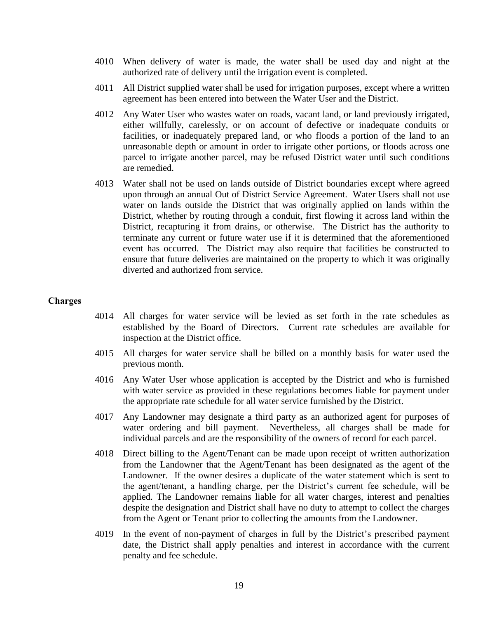- 4010 When delivery of water is made, the water shall be used day and night at the authorized rate of delivery until the irrigation event is completed.
- 4011 All District supplied water shall be used for irrigation purposes, except where a written agreement has been entered into between the Water User and the District.
- 4012 Any Water User who wastes water on roads, vacant land, or land previously irrigated, either willfully, carelessly, or on account of defective or inadequate conduits or facilities, or inadequately prepared land, or who floods a portion of the land to an unreasonable depth or amount in order to irrigate other portions, or floods across one parcel to irrigate another parcel, may be refused District water until such conditions are remedied.
- 4013 Water shall not be used on lands outside of District boundaries except where agreed upon through an annual Out of District Service Agreement. Water Users shall not use water on lands outside the District that was originally applied on lands within the District, whether by routing through a conduit, first flowing it across land within the District, recapturing it from drains, or otherwise. The District has the authority to terminate any current or future water use if it is determined that the aforementioned event has occurred. The District may also require that facilities be constructed to ensure that future deliveries are maintained on the property to which it was originally diverted and authorized from service.

#### **Charges**

- 4014 All charges for water service will be levied as set forth in the rate schedules as established by the Board of Directors. Current rate schedules are available for inspection at the District office.
- 4015 All charges for water service shall be billed on a monthly basis for water used the previous month.
- 4016 Any Water User whose application is accepted by the District and who is furnished with water service as provided in these regulations becomes liable for payment under the appropriate rate schedule for all water service furnished by the District.
- 4017 Any Landowner may designate a third party as an authorized agent for purposes of water ordering and bill payment. Nevertheless, all charges shall be made for individual parcels and are the responsibility of the owners of record for each parcel.
- 4018 Direct billing to the Agent/Tenant can be made upon receipt of written authorization from the Landowner that the Agent/Tenant has been designated as the agent of the Landowner. If the owner desires a duplicate of the water statement which is sent to the agent/tenant, a handling charge, per the District's current fee schedule, will be applied. The Landowner remains liable for all water charges, interest and penalties despite the designation and District shall have no duty to attempt to collect the charges from the Agent or Tenant prior to collecting the amounts from the Landowner.
- 4019 In the event of non-payment of charges in full by the District's prescribed payment date, the District shall apply penalties and interest in accordance with the current penalty and fee schedule.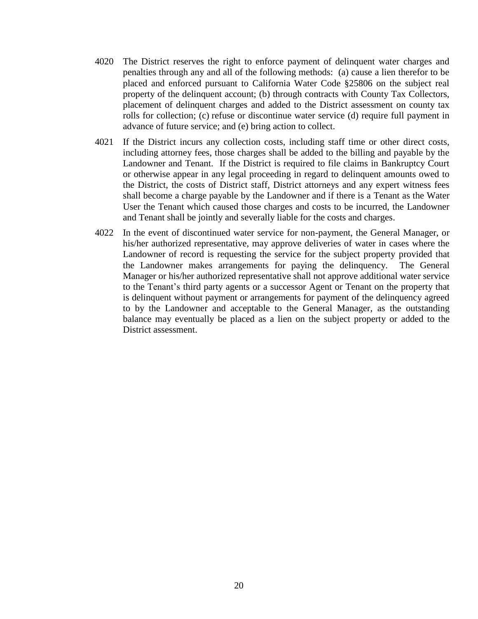- 4020 The District reserves the right to enforce payment of delinquent water charges and penalties through any and all of the following methods: (a) cause a lien therefor to be placed and enforced pursuant to California Water Code §25806 on the subject real property of the delinquent account; (b) through contracts with County Tax Collectors, placement of delinquent charges and added to the District assessment on county tax rolls for collection; (c) refuse or discontinue water service (d) require full payment in advance of future service; and (e) bring action to collect.
- 4021 If the District incurs any collection costs, including staff time or other direct costs, including attorney fees, those charges shall be added to the billing and payable by the Landowner and Tenant. If the District is required to file claims in Bankruptcy Court or otherwise appear in any legal proceeding in regard to delinquent amounts owed to the District, the costs of District staff, District attorneys and any expert witness fees shall become a charge payable by the Landowner and if there is a Tenant as the Water User the Tenant which caused those charges and costs to be incurred, the Landowner and Tenant shall be jointly and severally liable for the costs and charges.
- 4022 In the event of discontinued water service for non-payment, the General Manager, or his/her authorized representative, may approve deliveries of water in cases where the Landowner of record is requesting the service for the subject property provided that the Landowner makes arrangements for paying the delinquency. The General Manager or his/her authorized representative shall not approve additional water service to the Tenant's third party agents or a successor Agent or Tenant on the property that is delinquent without payment or arrangements for payment of the delinquency agreed to by the Landowner and acceptable to the General Manager, as the outstanding balance may eventually be placed as a lien on the subject property or added to the District assessment.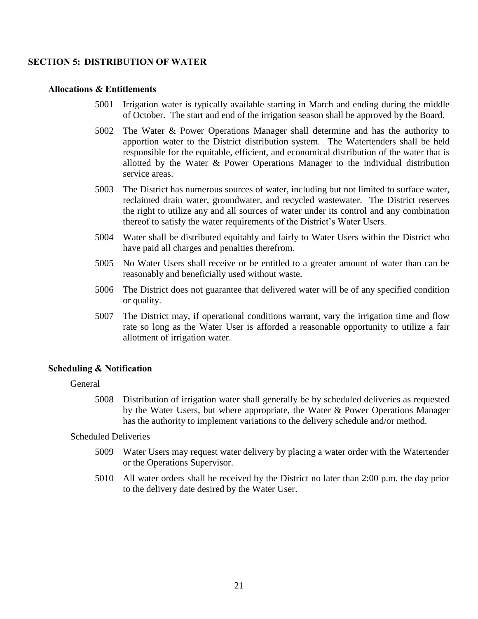#### **SECTION 5: DISTRIBUTION OF WATER**

#### **Allocations & Entitlements**

- 5001 Irrigation water is typically available starting in March and ending during the middle of October. The start and end of the irrigation season shall be approved by the Board.
- 5002 The Water & Power Operations Manager shall determine and has the authority to apportion water to the District distribution system. The Watertenders shall be held responsible for the equitable, efficient, and economical distribution of the water that is allotted by the Water & Power Operations Manager to the individual distribution service areas.
- 5003 The District has numerous sources of water, including but not limited to surface water, reclaimed drain water, groundwater, and recycled wastewater. The District reserves the right to utilize any and all sources of water under its control and any combination thereof to satisfy the water requirements of the District's Water Users.
- 5004 Water shall be distributed equitably and fairly to Water Users within the District who have paid all charges and penalties therefrom.
- 5005 No Water Users shall receive or be entitled to a greater amount of water than can be reasonably and beneficially used without waste.
- 5006 The District does not guarantee that delivered water will be of any specified condition or quality.
- 5007 The District may, if operational conditions warrant, vary the irrigation time and flow rate so long as the Water User is afforded a reasonable opportunity to utilize a fair allotment of irrigation water.

#### **Scheduling & Notification**

#### General

5008 Distribution of irrigation water shall generally be by scheduled deliveries as requested by the Water Users, but where appropriate, the Water & Power Operations Manager has the authority to implement variations to the delivery schedule and/or method.

Scheduled Deliveries

- 5009 Water Users may request water delivery by placing a water order with the Watertender or the Operations Supervisor.
- 5010 All water orders shall be received by the District no later than 2:00 p.m. the day prior to the delivery date desired by the Water User.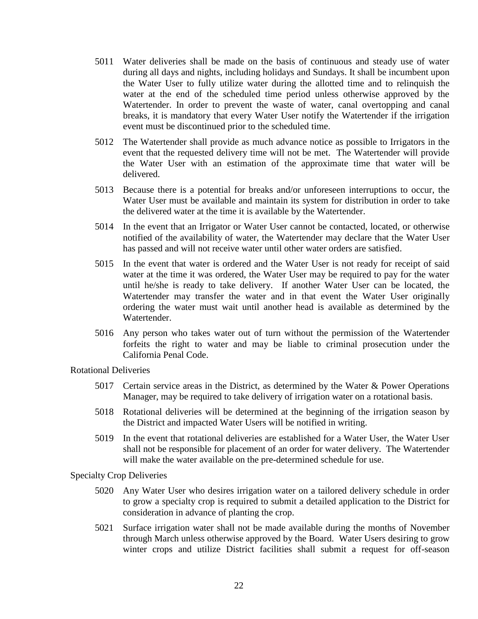- 5011 Water deliveries shall be made on the basis of continuous and steady use of water during all days and nights, including holidays and Sundays. It shall be incumbent upon the Water User to fully utilize water during the allotted time and to relinquish the water at the end of the scheduled time period unless otherwise approved by the Watertender. In order to prevent the waste of water, canal overtopping and canal breaks, it is mandatory that every Water User notify the Watertender if the irrigation event must be discontinued prior to the scheduled time.
- 5012 The Watertender shall provide as much advance notice as possible to Irrigators in the event that the requested delivery time will not be met. The Watertender will provide the Water User with an estimation of the approximate time that water will be delivered.
- 5013 Because there is a potential for breaks and/or unforeseen interruptions to occur, the Water User must be available and maintain its system for distribution in order to take the delivered water at the time it is available by the Watertender.
- 5014 In the event that an Irrigator or Water User cannot be contacted, located, or otherwise notified of the availability of water, the Watertender may declare that the Water User has passed and will not receive water until other water orders are satisfied.
- 5015 In the event that water is ordered and the Water User is not ready for receipt of said water at the time it was ordered, the Water User may be required to pay for the water until he/she is ready to take delivery. If another Water User can be located, the Watertender may transfer the water and in that event the Water User originally ordering the water must wait until another head is available as determined by the Watertender.
- 5016 Any person who takes water out of turn without the permission of the Watertender forfeits the right to water and may be liable to criminal prosecution under the California Penal Code.

Rotational Deliveries

- 5017 Certain service areas in the District, as determined by the Water & Power Operations Manager, may be required to take delivery of irrigation water on a rotational basis.
- 5018 Rotational deliveries will be determined at the beginning of the irrigation season by the District and impacted Water Users will be notified in writing.
- 5019 In the event that rotational deliveries are established for a Water User, the Water User shall not be responsible for placement of an order for water delivery. The Watertender will make the water available on the pre-determined schedule for use.

Specialty Crop Deliveries

- 5020 Any Water User who desires irrigation water on a tailored delivery schedule in order to grow a specialty crop is required to submit a detailed application to the District for consideration in advance of planting the crop.
- 5021 Surface irrigation water shall not be made available during the months of November through March unless otherwise approved by the Board. Water Users desiring to grow winter crops and utilize District facilities shall submit a request for off-season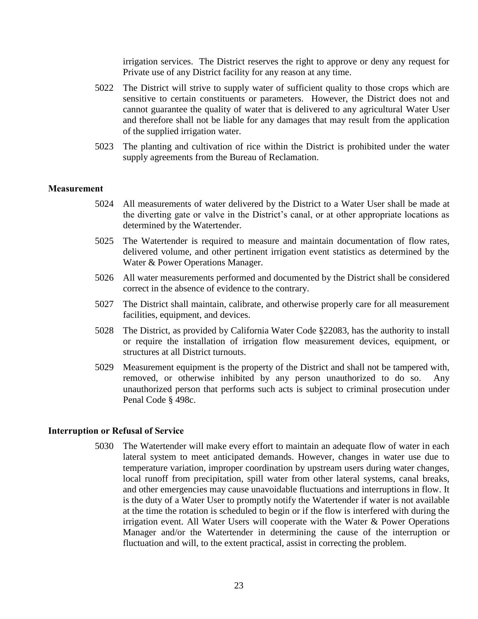irrigation services. The District reserves the right to approve or deny any request for Private use of any District facility for any reason at any time.

- 5022 The District will strive to supply water of sufficient quality to those crops which are sensitive to certain constituents or parameters. However, the District does not and cannot guarantee the quality of water that is delivered to any agricultural Water User and therefore shall not be liable for any damages that may result from the application of the supplied irrigation water.
- 5023 The planting and cultivation of rice within the District is prohibited under the water supply agreements from the Bureau of Reclamation.

#### **Measurement**

- 5024 All measurements of water delivered by the District to a Water User shall be made at the diverting gate or valve in the District's canal, or at other appropriate locations as determined by the Watertender.
- 5025 The Watertender is required to measure and maintain documentation of flow rates, delivered volume, and other pertinent irrigation event statistics as determined by the Water & Power Operations Manager.
- 5026 All water measurements performed and documented by the District shall be considered correct in the absence of evidence to the contrary.
- 5027 The District shall maintain, calibrate, and otherwise properly care for all measurement facilities, equipment, and devices.
- 5028 The District, as provided by California Water Code §22083, has the authority to install or require the installation of irrigation flow measurement devices, equipment, or structures at all District turnouts.
- 5029 Measurement equipment is the property of the District and shall not be tampered with, removed, or otherwise inhibited by any person unauthorized to do so. Any unauthorized person that performs such acts is subject to criminal prosecution under Penal Code § 498c.

#### **Interruption or Refusal of Service**

5030 The Watertender will make every effort to maintain an adequate flow of water in each lateral system to meet anticipated demands. However, changes in water use due to temperature variation, improper coordination by upstream users during water changes, local runoff from precipitation, spill water from other lateral systems, canal breaks, and other emergencies may cause unavoidable fluctuations and interruptions in flow. It is the duty of a Water User to promptly notify the Watertender if water is not available at the time the rotation is scheduled to begin or if the flow is interfered with during the irrigation event. All Water Users will cooperate with the Water & Power Operations Manager and/or the Watertender in determining the cause of the interruption or fluctuation and will, to the extent practical, assist in correcting the problem.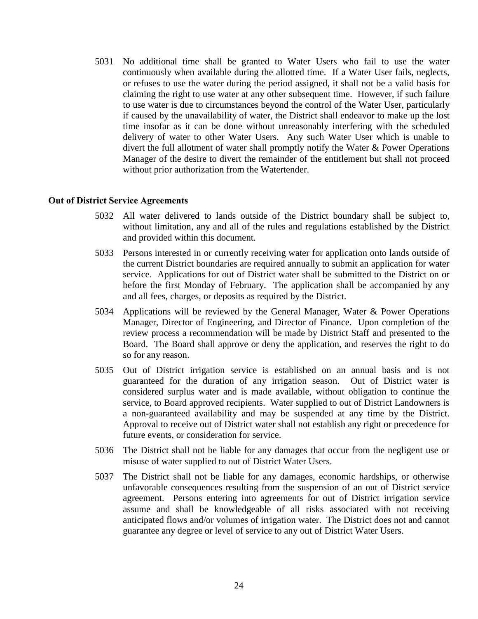5031 No additional time shall be granted to Water Users who fail to use the water continuously when available during the allotted time. If a Water User fails, neglects, or refuses to use the water during the period assigned, it shall not be a valid basis for claiming the right to use water at any other subsequent time. However, if such failure to use water is due to circumstances beyond the control of the Water User, particularly if caused by the unavailability of water, the District shall endeavor to make up the lost time insofar as it can be done without unreasonably interfering with the scheduled delivery of water to other Water Users. Any such Water User which is unable to divert the full allotment of water shall promptly notify the Water & Power Operations Manager of the desire to divert the remainder of the entitlement but shall not proceed without prior authorization from the Watertender.

#### **Out of District Service Agreements**

- 5032 All water delivered to lands outside of the District boundary shall be subject to, without limitation, any and all of the rules and regulations established by the District and provided within this document.
- 5033 Persons interested in or currently receiving water for application onto lands outside of the current District boundaries are required annually to submit an application for water service. Applications for out of District water shall be submitted to the District on or before the first Monday of February. The application shall be accompanied by any and all fees, charges, or deposits as required by the District.
- 5034 Applications will be reviewed by the General Manager, Water & Power Operations Manager, Director of Engineering, and Director of Finance. Upon completion of the review process a recommendation will be made by District Staff and presented to the Board. The Board shall approve or deny the application, and reserves the right to do so for any reason.
- 5035 Out of District irrigation service is established on an annual basis and is not guaranteed for the duration of any irrigation season. Out of District water is considered surplus water and is made available, without obligation to continue the service, to Board approved recipients. Water supplied to out of District Landowners is a non-guaranteed availability and may be suspended at any time by the District. Approval to receive out of District water shall not establish any right or precedence for future events, or consideration for service.
- 5036 The District shall not be liable for any damages that occur from the negligent use or misuse of water supplied to out of District Water Users.
- 5037 The District shall not be liable for any damages, economic hardships, or otherwise unfavorable consequences resulting from the suspension of an out of District service agreement. Persons entering into agreements for out of District irrigation service assume and shall be knowledgeable of all risks associated with not receiving anticipated flows and/or volumes of irrigation water. The District does not and cannot guarantee any degree or level of service to any out of District Water Users.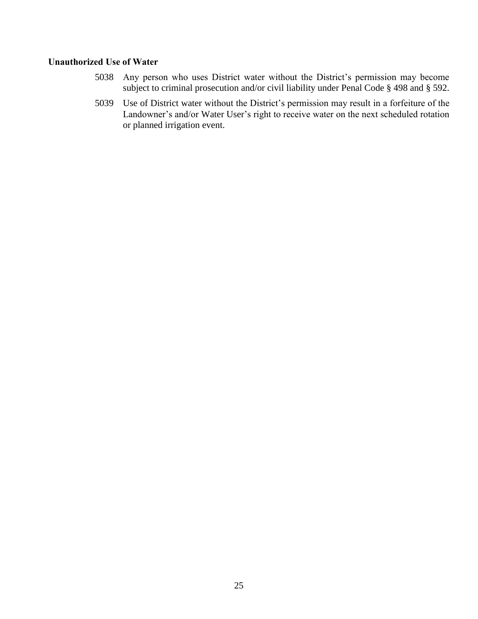#### **Unauthorized Use of Water**

- 5038 Any person who uses District water without the District's permission may become subject to criminal prosecution and/or civil liability under Penal Code § 498 and § 592.
- 5039 Use of District water without the District's permission may result in a forfeiture of the Landowner's and/or Water User's right to receive water on the next scheduled rotation or planned irrigation event.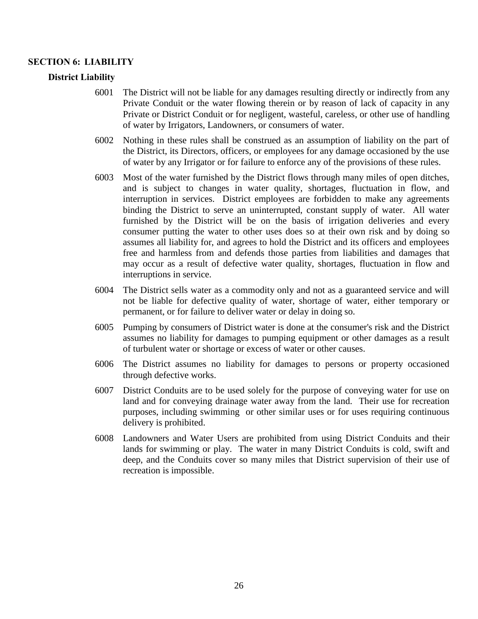#### **SECTION 6: LIABILITY**

#### **District Liability**

- 6001 The District will not be liable for any damages resulting directly or indirectly from any Private Conduit or the water flowing therein or by reason of lack of capacity in any Private or District Conduit or for negligent, wasteful, careless, or other use of handling of water by Irrigators, Landowners, or consumers of water.
- 6002 Nothing in these rules shall be construed as an assumption of liability on the part of the District, its Directors, officers, or employees for any damage occasioned by the use of water by any Irrigator or for failure to enforce any of the provisions of these rules.
- 6003 Most of the water furnished by the District flows through many miles of open ditches, and is subject to changes in water quality, shortages, fluctuation in flow, and interruption in services. District employees are forbidden to make any agreements binding the District to serve an uninterrupted, constant supply of water. All water furnished by the District will be on the basis of irrigation deliveries and every consumer putting the water to other uses does so at their own risk and by doing so assumes all liability for, and agrees to hold the District and its officers and employees free and harmless from and defends those parties from liabilities and damages that may occur as a result of defective water quality, shortages, fluctuation in flow and interruptions in service.
- 6004 The District sells water as a commodity only and not as a guaranteed service and will not be liable for defective quality of water, shortage of water, either temporary or permanent, or for failure to deliver water or delay in doing so.
- 6005 Pumping by consumers of District water is done at the consumer's risk and the District assumes no liability for damages to pumping equipment or other damages as a result of turbulent water or shortage or excess of water or other causes.
- 6006 The District assumes no liability for damages to persons or property occasioned through defective works.
- 6007 District Conduits are to be used solely for the purpose of conveying water for use on land and for conveying drainage water away from the land. Their use for recreation purposes, including swimming or other similar uses or for uses requiring continuous delivery is prohibited.
- 6008 Landowners and Water Users are prohibited from using District Conduits and their lands for swimming or play. The water in many District Conduits is cold, swift and deep, and the Conduits cover so many miles that District supervision of their use of recreation is impossible.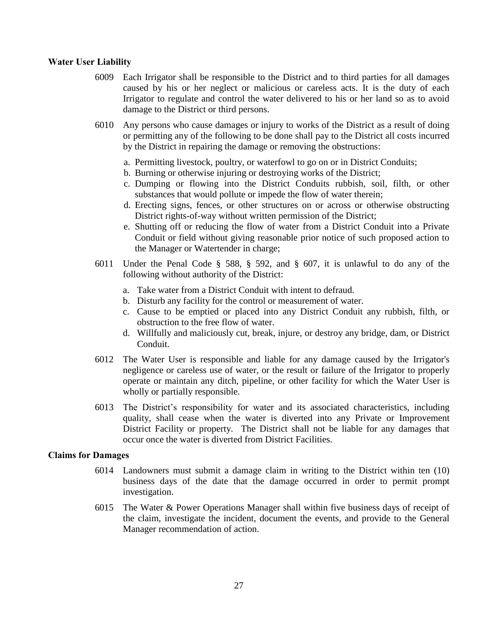#### **Water User Liability**

- 6009 Each Irrigator shall be responsible to the District and to third parties for all damages caused by his or her neglect or malicious or careless acts. It is the duty of each Irrigator to regulate and control the water delivered to his or her land so as to avoid damage to the District or third persons.
- 6010 Any persons who cause damages or injury to works of the District as a result of doing or permitting any of the following to be done shall pay to the District all costs incurred by the District in repairing the damage or removing the obstructions:
	- a. Permitting livestock, poultry, or waterfowl to go on or in District Conduits;
	- b. Burning or otherwise injuring or destroying works of the District;
	- c. Dumping or flowing into the District Conduits rubbish, soil, filth, or other substances that would pollute or impede the flow of water therein;
	- d. Erecting signs, fences, or other structures on or across or otherwise obstructing District rights-of-way without written permission of the District;
	- e. Shutting off or reducing the flow of water from a District Conduit into a Private Conduit or field without giving reasonable prior notice of such proposed action to the Manager or Watertender in charge;
- 6011 Under the Penal Code § 588, § 592, and § 607, it is unlawful to do any of the following without authority of the District:
	- a. Take water from a District Conduit with intent to defraud.
	- b. Disturb any facility for the control or measurement of water.
	- c. Cause to be emptied or placed into any District Conduit any rubbish, filth, or obstruction to the free flow of water.
	- d. Willfully and maliciously cut, break, injure, or destroy any bridge, dam, or District Conduit.
- 6012 The Water User is responsible and liable for any damage caused by the Irrigator's negligence or careless use of water, or the result or failure of the Irrigator to properly operate or maintain any ditch, pipeline, or other facility for which the Water User is wholly or partially responsible.
- 6013 The District's responsibility for water and its associated characteristics, including quality, shall cease when the water is diverted into any Private or Improvement District Facility or property. The District shall not be liable for any damages that occur once the water is diverted from District Facilities.

#### **Claims for Damages**

- 6014 Landowners must submit a damage claim in writing to the District within ten (10) business days of the date that the damage occurred in order to permit prompt investigation.
- 6015 The Water & Power Operations Manager shall within five business days of receipt of the claim, investigate the incident, document the events, and provide to the General Manager recommendation of action.